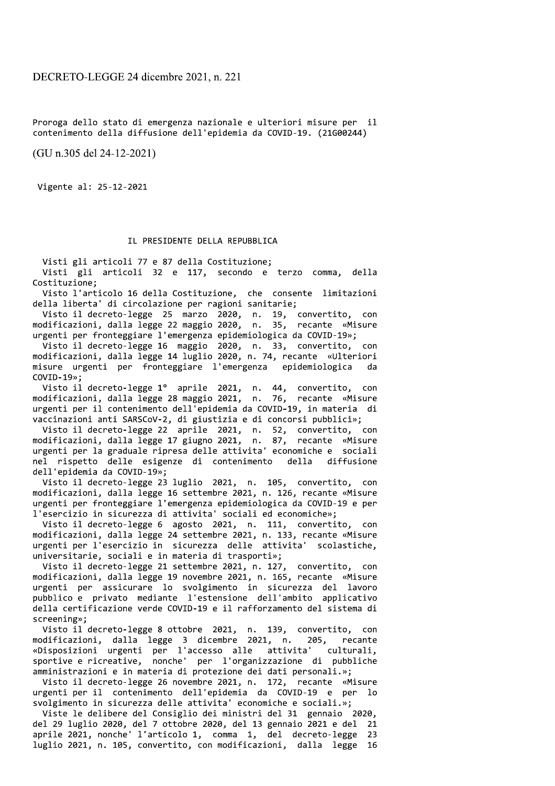Proroga dello stato di emergenza nazionale e ulteriori misure per il contenimento della diffusione dell'epidemia da COVID-19. (21G00244)

(GU n.305 del 24-12-2021)

Vigente al: 25-12-2021

## IL PRESIDENTE DELLA REPUBBLICA

Visti gli articoli 77 e 87 della Costituzione;

Visti gli articoli 32 e 117, secondo e terzo comma, della Costituzione;

Visto l'articolo 16 della Costituzione, che consente limitazioni della liberta' di circolazione per ragioni sanitarie;

Visto il decreto-legge 25 marzo 2020, n. 19, convertito, con<br>modificazioni, dalla legge 22 maggio 2020, n. 35, recante «Misure urgenti per fronteggiare l'emergenza epidemiologica da COVID-19»;

Visto il decreto-legge 16 maggio 2020, n. 33, convertito, con<br>modificazioni, dalla legge 14 luglio 2020, n. 74, recante «Ulteriori misure urgenti per fronteggiare l'emergenza epidemiologica da  $COVID-19$ »;

Visto il decreto-legge 1º aprile 2021, n. 44, convertito, con<br>modificazioni, dalla legge 28 maggio 2021, n. 76, recante «Misure urgenti per il contenimento dell'epidemia da COVID-19, in materia di vaccinazioni anti SARSCoV-2, di giustizia e di concorsi pubblici»;

Visto il decreto-legge 22 aprile 2021, n. 52, convertito, con<br>modificazioni, dalla legge 17 giugno 2021, n. 87, recante «Misure<br>urgenti per la graduale ripresa delle attivita' economiche e sociali nel rispetto delle esigenze di contenimento della diffusione dell'epidemia da COVID-19»;

Visto il decreto-legge 23 luglio 2021, n. 105, convertito, con modificazioni, dalla legge 16 settembre 2021, n. 126, recante «Misure urgenti per fronteggiare l'emergenza epidemiologica da COVID-19 e per l'esercizio in sicurezza di attivita' sociali ed economiche»;

Visto il decreto-legge 6 agosto 2021, n. 111, convertito, con<br>modificazioni, dalla legge 24 settembre 2021, n. 133, recante «Misure urgenti per l'esercizio in sicurezza delle attivita' scolastiche, universitarie, sociali e in materia di trasporti»;

Visto il decreto-legge 21 settembre 2021, n. 127, convertito, con modificazioni, dalla legge 19 novembre 2021, n. 165, recante «Misure urgenti per assicurare lo svolgimento in sicurezza del lavoro pubblico e privato mediante l'estensione dell'ambito applicativo della certificazione verde COVID-19 e il rafforzamento del sistema di screening»;

Visto il decreto-legge 8 ottobre 2021, n. 139, convertito, con modificazioni, dalla legge 3 dicembre 2021, n. 205, recante «Disposizioni urgenti per l'accesso alle attivita' culturali. sportive e ricreative, nonche' per l'organizzazione di pubbliche amministrazioni e in materia di protezione dei dati personali.»;

Visto il decreto-legge 26 novembre 2021, n. 172, recante «Misure urgenti per il contenimento dell'epidemia da COVID-19 e per ിറ svolgimento in sicurezza delle attivita' economiche e sociali.»;

Viste le delibere del Consiglio dei ministri del 31 gennaio 2020, del 29 luglio 2020, del 7 ottobre 2020, del 13 gennaio 2021 e del 21 aprile 2021, nonche' l'articolo 1, comma 1, del decreto-legge 23 luglio 2021, n. 105, convertito, con modificazioni, dalla legge 16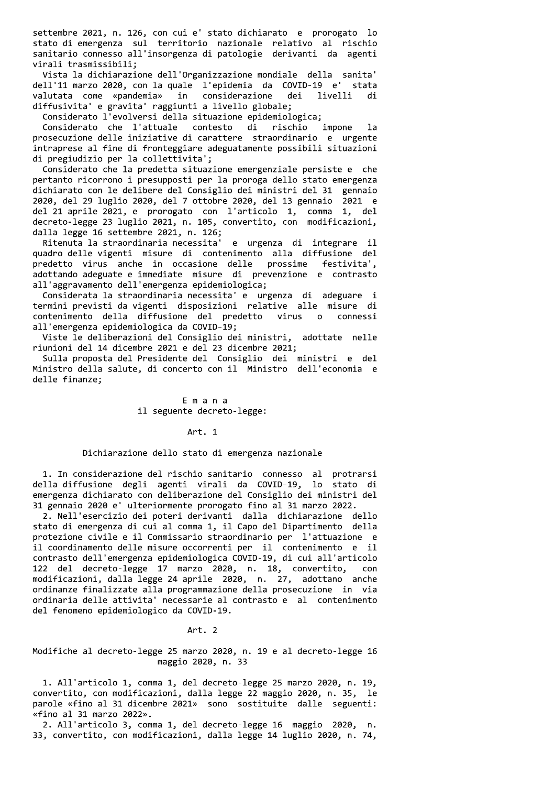settembre 2021, n. 126, con cui e' stato dichiarato e prorogato lo stato di emergenza sul territorio nazionale relativo al rischio sanitario connesso all'insorgenza di patologie derivanti da agenti virali trasmissibili;

Vista la dichiarazione dell'Organizzazione mondiale della sanita' dell'11 marzo 2020, con la quale l'epidemia da COVID-19 e' stata valutata come «pandemia» in considerazione dei livelli di diffusivita' e gravita' raggiunti a livello globale;

Considerato l'evolversi della situazione epidemiologica;

Considerato che l'attuale contesto di rischio impone  $1a$ prosecuzione delle iniziative di carattere straordinario e urgente intraprese al fine di fronteggiare adeguatamente possibili situazioni di pregiudizio per la collettivita';

Considerato che la predetta situazione emergenziale persiste e che pertanto ricorrono i presupposti per la proroga dello stato emergenza dichiarato con le delibere del Consiglio dei ministri del 31 gennaio 2020, del 29 luglio 2020, del 7 ottobre 2020, del 13 gennaio 2021 e del 21 aprile 2021, e prorogato con l'articolo 1, comma 1, del decreto-legge 23 luglio 2021, n. 105, convertito, con modificazioni, dalla legge 16 settembre 2021, n. 126;

Ritenuta la straordinaria necessita' e urgenza di integrare il quadro delle vigenti misure di contenimento alla diffusione del predetto virus anche in occasione delle prossime festivita', adottando adeguate e immediate misure di prevenzione e contrasto all'aggravamento dell'emergenza epidemiologica;

Considerata la straordinaria necessita' e urgenza di adeguare i termini previsti da vigenti disposizioni relative alle misure di contenimento della diffusione del predetto virus connessi  $\Omega$ all'emergenza epidemiologica da COVID-19;

Viste le deliberazioni del Consiglio dei ministri, adottate nelle riunioni del 14 dicembre 2021 e del 23 dicembre 2021;

Sulla proposta del Presidente del Consiglio dei ministri e del Ministro della salute, di concerto con il Ministro dell'economia e delle finanze;

## Emana il seguente decreto-legge:

#### Art. 1

#### Dichiarazione dello stato di emergenza nazionale

1. In considerazione del rischio sanitario connesso al protrarsi della diffusione degli agenti virali da COVID-19, lo stato di emergenza dichiarato con deliberazione del Consiglio dei ministri del 31 gennaio 2020 e' ulteriormente prorogato fino al 31 marzo 2022.

2. Nell'esercizio dei poteri derivanti dalla dichiarazione dello stato di emergenza di cui al comma 1, il Capo del Dipartimento della protezione civile e il Commissario straordinario per l'attuazione e il coordinamento delle misure occorrenti per il contenimento e il contrasto dell'emergenza epidemiologica COVID-19, di cui all'articolo 122 del decreto-legge 17 marzo 2020, n. 18, convertito, con modificazioni, dalla legge 24 aprile 2020, n. 27, adottano anche ordinanze finalizzate alla programmazione della prosecuzione in via ordinaria delle attivita' necessarie al contrasto e al contenimento del fenomeno epidemiologico da COVID-19.

#### Art. 2

## Modifiche al decreto-legge 25 marzo 2020, n. 19 e al decreto-legge 16 maggio 2020, n. 33

1. All'articolo 1, comma 1, del decreto-legge 25 marzo 2020, n. 19, convertito, con modificazioni, dalla legge 22 maggio 2020, n. 35, le parole «fino al 31 dicembre 2021» sono sostituite dalle seguenti: «fino al 31 marzo 2022».

2. All'articolo 3, comma 1, del decreto-legge 16 maggio 2020, n. 33, convertito, con modificazioni, dalla legge 14 luglio 2020, n. 74,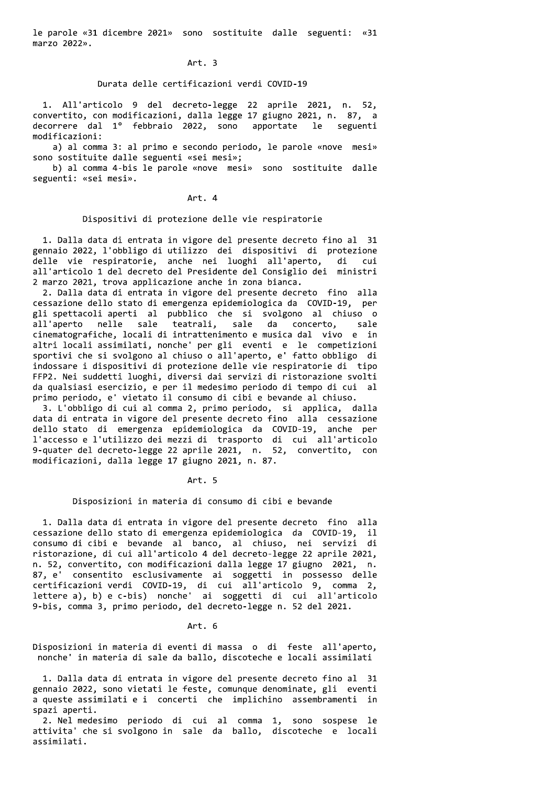le parole «31 dicembre 2021» sono sostituite dalle seguenti: «31 marzo 2022».

#### Art. 3

## Durata delle certificazioni verdi COVID-19

1. All'articolo 9 del decreto-legge 22 aprile 2021, n. 52, convertito, con modificazioni, dalla legge 17 giugno 2021, n. 87, a decorrere dal 1º febbraio 2022, sono apportate le seguenti modificazioni:

a) al comma 3: al primo e secondo periodo, le parole «nove mesi» sono sostituite dalle seguenti «sei mesi»;

b) al comma 4-bis le parole «nove mesi» sono sostituite dalle seguenti: «sei mesi».

Art. 4

## Dispositivi di protezione delle vie respiratorie

1. Dalla data di entrata in vigore del presente decreto fino al 31 gennaio 2022, l'obbligo di utilizzo dei dispositivi di protezione delle vie respiratorie, anche nei luoghi all'aperto, di cui all'articolo 1 del decreto del Presidente del Consiglio dei ministri 2 marzo 2021, trova applicazione anche in zona bianca.

2. Dalla data di entrata in vigore del presente decreto fino alla cessazione dello stato di emergenza epidemiologica da COVID-19, per gli spettacoli aperti al pubblico che si svolgono al chiuso o teatrali, sale da concerto, all'aperto nelle sale sale cinematografiche, locali di intrattenimento e musica dal vivo e in altri locali assimilati, nonche' per gli eventi e le competizioni sportivi che si svolgono al chiuso o all'aperto, e' fatto obbligo di indossare i dispositivi di protezione delle vie respiratorie di tipo FFP2. Nei suddetti luoghi, diversi dai servizi di ristorazione svolti da qualsiasi esercizio, e per il medesimo periodo di tempo di cui al primo periodo, e' vietato il consumo di cibi e bevande al chiuso.

3. L'obbligo di cui al comma 2, primo periodo, si applica, dalla data di entrata in vigore del presente decreto fino alla cessazione dello stato di emergenza epidemiologica da COVID-19, anche per l'accesso e l'utilizzo dei mezzi di trasporto di cui all'articolo<br>9-quater del decreto-legge 22 aprile 2021, n. 52, convertito, con modificazioni, dalla legge 17 giugno 2021, n. 87.

Art. 5

# Disposizioni in materia di consumo di cibi e bevande

1. Dalla data di entrata in vigore del presente decreto fino alla cessazione dello stato di emergenza epidemiologica da COVID-19, il consumo di cibi e bevande al banco, al chiuso, nei servizi di ristorazione, di cui all'articolo 4 del decreto-legge 22 aprile 2021, n. 52, convertito, con modificazioni dalla legge 17 giugno 2021, n. 87, e' consentito esclusivamente ai soggetti in possesso delle certificazioni verdi COVID-19, di cui all'articolo 9, comma 2,<br>lettere a), b) e c-bis) nonche' ai soggetti di cui all'articolo 9-bis, comma 3, primo periodo, del decreto-legge n. 52 del 2021.

Art. 6

Disposizioni in materia di eventi di massa o di feste all'aperto, nonche' in materia di sale da ballo, discoteche e locali assimilati

1. Dalla data di entrata in vigore del presente decreto fino al 31 gennaio 2022, sono vietati le feste, comunque denominate, gli eventi a queste assimilati e i concerti che implichino assembramenti in spazi aperti.

2. Nel medesimo periodo di cui al comma 1, sono sospese le attivita' che si svolgono in sale da ballo, discoteche e locali assimilati.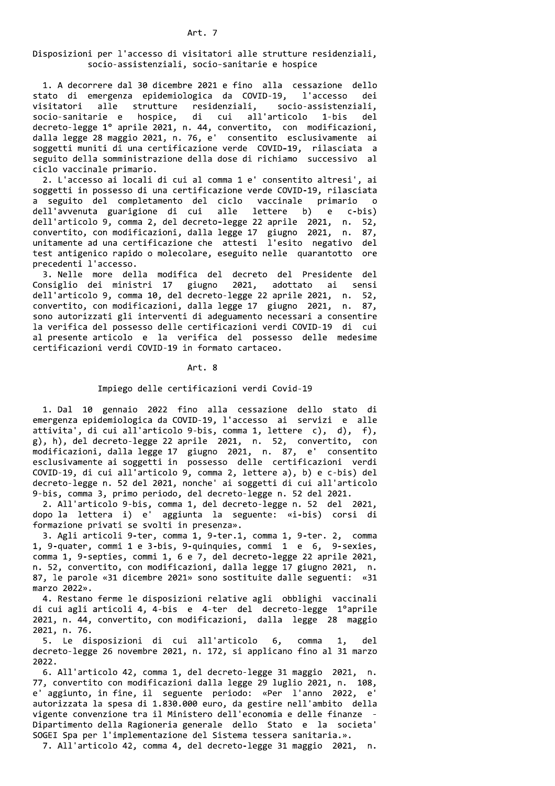# Disposizioni per l'accesso di visitatori alle strutture residenziali, socio-assistenziali, socio-sanitarie e hospice

1. A decorrere dal 30 dicembre 2021 e fino alla cessazione dello stato di emergenza epidemiologica da COVID-19, l'accesso dei visitatori alle strutture residenziali, socio-assistenziali, socio-sanitarie e hospice, di cui all'articolo 1-bis del decreto-legge 1º aprile 2021, n. 44, convertito, con modificazioni, dalla legge 28 maggio 2021, n. 76, e' consentito esclusivamente ai soggetti muniti di una certificazione verde COVID-19, rilasciata a seguito della somministrazione della dose di richiamo successivo al ciclo vaccinale primario.

2. L'accesso ai locali di cui al comma 1 e' consentito altresi', ai soggetti in possesso di una certificazione verde COVID-19, rilasciata a seguito del completamento del ciclo vaccinale primario  $\circ$ dell'avvenuta guarigione di cui alle lettere b) e c-bis) dell'articolo 9, comma 2, del decreto-legge 22 aprile 2021, n. 52, convertito, con modificazioni, dalla legge 17 giugno 2021, n. 87, unitamente ad una certificazione che attesti l'esito negativo del test antigenico rapido o molecolare, eseguito nelle quarantotto ore precedenti l'accesso.

3. Nelle more della modifica del decreto del Presidente del Consiglio dei ministri 17 giugno 2021, adottato ai sensi dell'articolo 9, comma 10, del decreto-legge 22 aprile 2021, n. 52, convertito, con modificazioni, dalla legge 17 giugno 2021, n. 87, sono autorizzati gli interventi di adeguamento necessari a consentire la verifica del possesso delle certificazioni verdi COVID-19 di cui al presente articolo e la verifica del possesso delle medesime certificazioni verdi COVID-19 in formato cartaceo.

Art. 8

#### Impiego delle certificazioni verdi Covid-19

1. Dal 10 gennaio 2022 fino alla cessazione dello stato di emergenza epidemiologica da COVID-19, l'accesso ai servizi e alle attivita', di cui all'articolo 9-bis, comma 1, lettere c), d), f), g), h), del decreto-legge 22 aprile 2021, n. 52, convertito, con modificazioni, dalla legge 17 giugno 2021, n. 87, e' consentito esclusivamente ai soggetti in possesso delle certificazioni verdi COVID-19, di cui all'articolo 9, comma 2, lettere a), b) e c-bis) del decreto-legge n. 52 del 2021, nonche' ai soggetti di cui all'articolo 9-bis, comma 3, primo periodo, del decreto-legge n. 52 del 2021.

2. All'articolo 9-bis, comma 1, del decreto-legge n. 52 del 2021, dopo la lettera i) e' aggiunta la seguente: «i-bis) corsi di formazione privati se svolti in presenza».

3. Agli articoli 9-ter, comma 1, 9-ter.1, comma 1, 9-ter. 2, comma 1, 9-quater, commi 1 e 3-bis, 9-quinquies, commi 1 e 6, 9-sexies, comma 1, 9-septies, commi 1, 6 e 7, del decreto-legge 22 aprile 2021, n. 52, convertito, con modificazioni, dalla legge 17 giugno 2021, n. 87, le parole «31 dicembre 2021» sono sostituite dalle seguenti: «31 marzo 2022».

4. Restano ferme le disposizioni relative agli obblighi vaccinali di cui agli articoli 4, 4-bis e 4-ter del decreto-legge 1ºaprile 2021, n. 44, convertito, con modificazioni, dalla legge 28 maggio 2021, n. 76.

5. Le disposizioni di cui all'articolo 6, comma 1, del. decreto-legge 26 novembre 2021, n. 172, si applicano fino al 31 marzo 2022.

6. All'articolo 42, comma 1, del decreto-legge 31 maggio 2021, n. 77, convertito con modificazioni dalla legge 29 luglio 2021, n. 108, e' aggiunto, in fine, il seguente periodo: «Per l'anno 2022, e' autorizzata la spesa di 1.830.000 euro, da gestire nell'ambito della vigente convenzione tra il Ministero dell'economia e delle finanze Dipartimento della Ragioneria generale dello Stato e la societa' SOGEI Spa per l'implementazione del Sistema tessera sanitaria.».

7. All'articolo 42, comma 4, del decreto-legge 31 maggio 2021, n.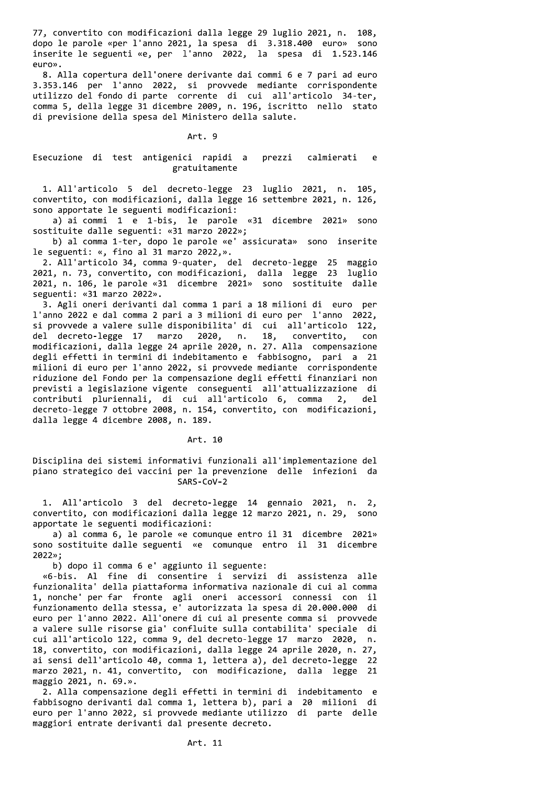77, convertito con modificazioni dalla legge 29 luglio 2021, n. 108, dopo le parole «per l'anno 2021, la spesa di 3.318.400 euro» sono inserite le seguenti «e, per l'anno 2022, la spesa di 1.523.146 euro».

8. Alla copertura dell'onere derivante dai commi 6 e 7 pari ad euro 3.353.146 per l'anno 2022, si provvede mediante corrispondente utilizzo del fondo di parte corrente di cui all'articolo 34-ter, comma 5, della legge 31 dicembre 2009, n. 196, iscritto nello stato di previsione della spesa del Ministero della salute.

#### Art. 9

#### Esecuzione di test antigenici rapidi a prezzi calmierati e gratuitamente

1. All'articolo 5 del decreto-legge 23 luglio 2021, n. 105, convertito, con modificazioni, dalla legge 16 settembre 2021, n. 126, sono apportate le seguenti modificazioni:

a) ai commi 1 e 1-bis, le parole «31 dicembre 2021» sono sostituite dalle seguenti: «31 marzo 2022»;

b) al comma 1-ter, dopo le parole «e' assicurata» sono inserite le seguenti: «, fino al 31 marzo 2022,».

2. All'articolo 34, comma 9-quater, del decreto-legge 25 maggio 2021, n. 73, convertito, con modificazioni, dalla legge 23 luglio 2021, n. 106, le parole «31 dicembre 2021» sono sostituite dalle seguenti: «31 marzo 2022».

3. Agli oneri derivanti dal comma 1 pari a 18 milioni di euro per l'anno 2022 e dal comma 2 pari a 3 milioni di euro per l'anno 2022, si provvede a valere sulle disponibilita' di cui all'articolo 122, del decreto-legge 17 marzo 2020, n. 18, convertito.  $con$ modificazioni, dalla legge 24 aprile 2020, n. 27. Alla compensazione degli effetti in termini di indebitamento e fabbisogno, pari a 21 milioni di euro per l'anno 2022, si provvede mediante corrispondente riduzione del Fondo per la compensazione degli effetti finanziari non previsti a legislazione vigente conseguenti all'attualizzazione di contributi pluriennali, di cui all'articolo 6, comma  $2.$ del decreto-legge 7 ottobre 2008, n. 154, convertito, con modificazioni, dalla legge 4 dicembre 2008, n. 189.

#### Art. 10

Disciplina dei sistemi informativi funzionali all'implementazione del piano strategico dei vaccini per la prevenzione delle infezioni da SARS-CoV-2

1. All'articolo 3 del decreto-legge 14 gennaio 2021, n. 2, convertito, con modificazioni dalla legge 12 marzo 2021, n. 29, sono apportate le seguenti modificazioni:

a) al comma 6, le parole «e comunque entro il 31 dicembre 2021» sono sostituite dalle seguenti «e comunque entro il 31 dicembre 2022»;

b) dopo il comma 6 e' aggiunto il seguente:

«6-bis. Al fine di consentire i servizi di assistenza alle funzionalita' della piattaforma informativa nazionale di cui al comma 1, nonche' per far fronte agli oneri accessori connessi con il funzionamento della stessa, e' autorizzata la spesa di 20.000.000 di euro per l'anno 2022. All'onere di cui al presente comma si provvede a valere sulle risorse gia' confluite sulla contabilita' speciale di cui all'articolo 122, comma 9, del decreto-legge 17 marzo 2020, n. 18, convertito, con modificazioni, dalla legge 24 aprile 2020, n. 27, ai sensi dell'articolo 40, comma 1, lettera a), del decreto-legge 22 marzo 2021, n. 41, convertito, con modificazione, dalla legge 21 maggio 2021, n. 69.».

2. Alla compensazione degli effetti in termini di indebitamento e fabbisogno derivanti dal comma 1, lettera b), pari a 20 milioni di euro per l'anno 2022, si provvede mediante utilizzo di parte delle maggiori entrate derivanti dal presente decreto.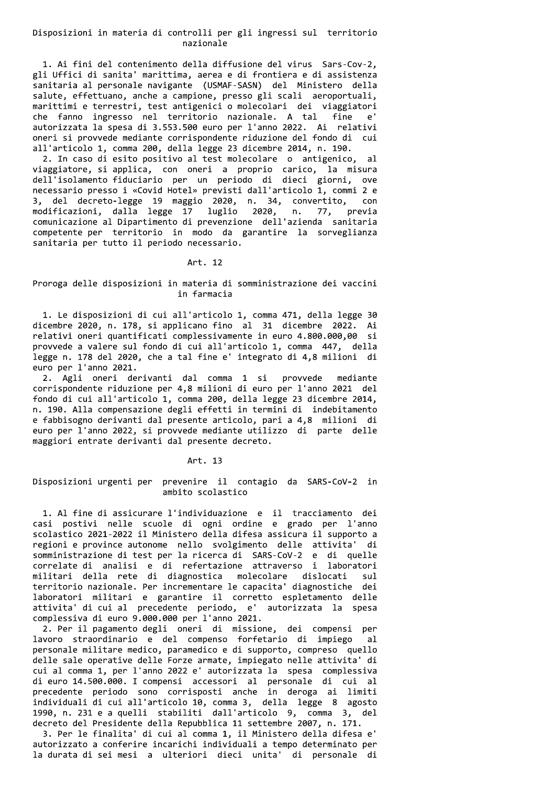## Disposizioni in materia di controlli per gli ingressi sul territorio nazionale

1. Ai fini del contenimento della diffusione del virus Sars-Cov-2, gli Uffici di sanita' marittima, aerea e di frontiera e di assistenza sanitaria al personale navigante (USMAF-SASN) del Ministero della salute, effettuano, anche a campione, presso gli scali aeroportuali, marittimi e terrestri, test antigenici o molecolari dei viaggiatori che fanno ingresso nel territorio nazionale. A tal fine  $\rho'$ autorizzata la spesa di 3.553.500 euro per l'anno 2022. Ai relativi oneri si provvede mediante corrispondente riduzione del fondo di cui all'articolo 1, comma 200, della legge 23 dicembre 2014, n. 190.

2. In caso di esito positivo al test molecolare o antigenico, al viaggiatore, si applica, con oneri a proprio carico, la misura dell'isolamento fiduciario per un periodo di dieci giorni, ove necessario presso i «Covid Hotel» previsti dall'articolo 1, commi 2 e 3, del decreto-legge 19 maggio 2020, n. 34, convertito, con modificazioni, dalla legge 17 luglio 2020, n. 77, previa comunicazione al Dipartimento di prevenzione dell'azienda sanitaria competente per territorio in modo da garantire la sorveglianza sanitaria per tutto il periodo necessario.

#### Art. 12

# Proroga delle disposizioni in materia di somministrazione dei vaccini in farmacia

1. Le disposizioni di cui all'articolo 1, comma 471, della legge 30 dicembre 2020, n. 178, si applicano fino al 31 dicembre 2022. Ai relativi oneri quantificati complessivamente in euro 4.800.000,00 si provvede a valere sul fondo di cui all'articolo 1, comma 447, della legge n. 178 del 2020, che a tal fine e' integrato di 4,8 milioni di euro per l'anno 2021.

2. Agli oneri derivanti dal comma 1 si provvede mediante corrispondente riduzione per 4,8 milioni di euro per l'anno 2021 del fondo di cui all'articolo 1, comma 200, della legge 23 dicembre 2014, n. 190. Alla compensazione degli effetti in termini di indebitamento e fabbisogno derivanti dal presente articolo, pari a 4,8 milioni di euro per l'anno 2022, si provvede mediante utilizzo di parte delle maggiori entrate derivanti dal presente decreto.

#### Art. 13

# Disposizioni urgenti per prevenire il contagio da SARS-CoV-2 in ambito scolastico

1. Al fine di assicurare l'individuazione e il tracciamento dei casi postivi nelle scuole di ogni ordine e grado per l'anno scolastico 2021-2022 il Ministero della difesa assicura il supporto a regioni e province autonome nello svolgimento delle attivita' di<br>somministrazione di test per la ricerca di SARS-COV-2 e di quelle<br>correlate di analisi e di refertazione attraverso i laboratori<br>militari della rete di diagn territorio nazionale. Per incrementare le capacita' diagnostiche dei laboratori militari e garantire il corretto espletamento delle attivita' di cui al precedente periodo, e' autorizzata la spesa complessiva di euro 9.000.000 per l'anno 2021.

2. Per il pagamento degli oneri di missione, dei compensi per lavoro straordinario e del compenso forfetario di impiego  $a<sup>1</sup>$ personale militare medico, paramedico e di supporto, compreso quello delle sale operative delle Forze armate, impiegato nelle attivita' di cui al comma 1, per l'anno 2022 e' autorizzata la spesa complessiva di euro 14.500.000. I compensi accessori al personale di cui al precedente periodo sono corrisposti anche in deroga ai limiti individuali di cui all'articolo 10, comma 3, della legge 8 agosto<br>1990, n. 231 e a quelli stabiliti dall'articolo 9, comma 3, del decreto del Presidente della Repubblica 11 settembre 2007, n. 171.

3. Per le finalita' di cui al comma 1, il Ministero della difesa e' autorizzato a conferire incarichi individuali a tempo determinato per la durata di sei mesi a ulteriori dieci unita' di personale di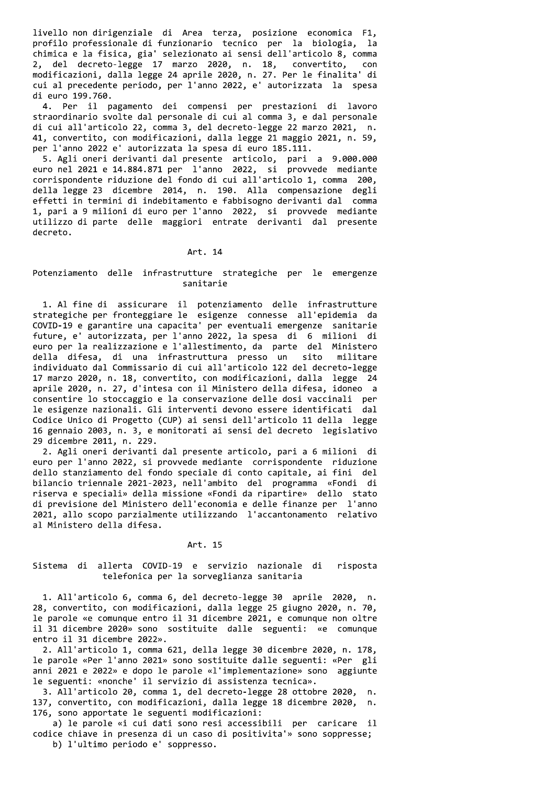livello non dirigenziale di Area terza, posizione economica F1, profilo professionale di funzionario tecnico per la biologia, la chimica e la fisica, gia' selezionato ai sensi dell'articolo 8, comma 2, del decreto-legge 17 marzo 2020, n. 18, convertito, con modificazioni, dalla legge 24 aprile 2020, n. 27. Per le finalita' di cui al precedente periodo, per l'anno 2022, e' autorizzata la spesa di euro 199.760.

4. Per il pagamento dei compensi per prestazioni di lavoro straordinario svolte dal personale di cui al comma 3, e dal personale di cui all'articolo 22, comma 3, del decreto-legge 22 marzo 2021, n. 41, convertito, con modificazioni, dalla legge 21 maggio 2021, n. 59, per l'anno 2022 e' autorizzata la spesa di euro 185.111.

5. Agli oneri derivanti dal presente articolo, pari a 9.000.000 euro nel 2021 e 14.884.871 per l'anno 2022, si provvede mediante corrispondente riduzione del fondo di cui all'articolo 1, comma 200, della legge 23 dicembre 2014, n. 190. Alla compensazione degli effetti in termini di indebitamento e fabbisogno derivanti dal comma 1, pari a 9 milioni di euro per l'anno 2022, si provvede mediante utilizzo di parte delle maggiori entrate derivanti dal presente decreto.

#### Art. 14

## Potenziamento delle infrastrutture strategiche per le emergenze sanitarie

1. Al fine di assicurare il potenziamento delle infrastrutture strategiche per fronteggiare le esigenze connesse all'epidemia da COVID-19 e garantire una capacita' per eventuali emergenze sanitarie future, e' autorizzata, per l'anno 2022, la spesa di 6 milioni di euro per la realizzazione e l'allestimento, da parte del Ministero della difesa, di una infrastruttura presso un sito militare individuato dal Commissario di cui all'articolo 122 del decreto-legge 17 marzo 2020, n. 18, convertito, con modificazioni, dalla legge 24 aprile 2020, n. 27, d'intesa con il Ministero della difesa, idoneo a consentire lo stoccaggio e la conservazione delle dosi vaccinali per le esigenze nazionali. Gli interventi devono essere identificati dal Codice Unico di Progetto (CUP) ai sensi dell'articolo 11 della legge 16 gennaio 2003, n. 3, e monitorati ai sensi del decreto legislativo 29 dicembre 2011, n. 229.

2. Agli oneri derivanti dal presente articolo, pari a 6 milioni di euro per l'anno 2022, si provvede mediante corrispondente riduzione dello stanziamento del fondo speciale di conto capitale, ai fini del bilancio triennale 2021-2023, nell'ambito del programma «Fondi di riserva e speciali» della missione «Fondi da ripartire» dello stato di previsione del Ministero dell'economia e delle finanze per l'anno 2021, allo scopo parzialmente utilizzando l'accantonamento relativo al Ministero della difesa.

#### Art. 15

#### Sistema di allerta COVID-19 e servizio nazionale di risposta telefonica per la sorveglianza sanitaria

1. All'articolo 6, comma 6, del decreto-legge 30 aprile 2020, n. 28, convertito, con modificazioni, dalla legge 25 giugno 2020, n. 70, le parole «e comunque entro il 31 dicembre 2021, e comunque non oltre il 31 dicembre 2020» sono sostituite dalle seguenti: «e comunque entro il 31 dicembre 2022».

2. All'articolo 1, comma 621, della legge 30 dicembre 2020, n. 178, le parole «Per l'anno 2021» sono sostituite dalle seguenti: «Per gli anni 2021 e 2022» e dopo le parole «l'implementazione» sono aggiunte le seguenti: «nonche' il servizio di assistenza tecnica».

3. All'articolo 20, comma 1, del decreto-legge 28 ottobre 2020, n. 137, convertito, con modificazioni, dalla legge 18 dicembre 2020,  $n<sub>1</sub>$ 176, sono apportate le seguenti modificazioni:

a) le parole «i cui dati sono resi accessibili per caricare il codice chiave in presenza di un caso di positivita'» sono soppresse; b) l'ultimo periodo e' soppresso.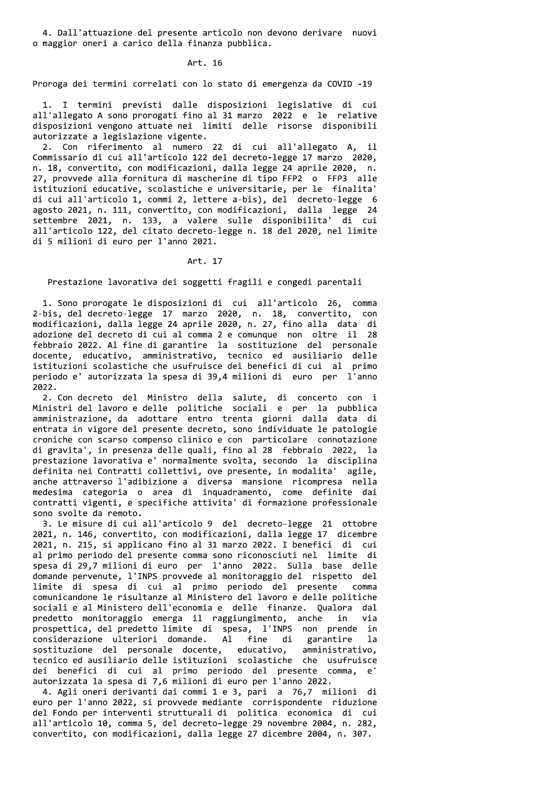4. Dall'attuazione del presente articolo non devono derivare nuovi o maggior oneri a carico della finanza pubblica.

Art. 16

Proroga dei termini correlati con lo stato di emergenza da COVID -19

1. I termini previsti dalle disposizioni legislative di cui all'allegato A sono prorogati fino al 31 marzo 2022 e le relative disposizioni vengono attuate nei limiti delle risorse disponibili autorizzate a legislazione vigente.

2. Con riferimento al numero 22 di cui all'allegato A, il Commissario di cui all'articolo 122 del decreto-legge 17 marzo 2020, n. 18, convertito, con modificazioni, dalla legge 24 aprile 2020, n. 27, provvede alla fornitura di mascherine di tipo FFP2 o FFP3 alle istituzioni educative, scolastiche e universitarie, per le finalita' di cui all'articolo 1, commi 2, lettere a-bis), del decreto-legge 6 agosto 2021, n. 111, convertito, con modificazioni, dalla legge 24 settembre 2021, n. 133, a valere sulle disponibilita' di cui all'articolo 122, del citato decreto-legge n. 18 del 2020, nel limite di 5 milioni di euro per l'anno 2021.

Art. 17

Prestazione lavorativa dei soggetti fragili e congedi parentali

1. Sono prorogate le disposizioni di cui all'articolo 26, comma 2-bis, del decreto-legge 17 marzo 2020, n. 18, convertito, con modificazioni, dalla legge 24 aprile 2020, n. 27, fino alla data di adozione del decreto di cui al comma 2 e comunque non oltre il 28 febbraio 2022. Al fine di garantire la sostituzione del personale docente, educativo, amministrativo, tecnico ed ausiliario delle istituzioni scolastiche che usufruisce dei benefici di cui al primo periodo e' autorizzata la spesa di 39,4 milioni di euro per l'anno 2022.

2. Con decreto del Ministro della salute, di concerto con i Ministri del lavoro e delle politiche sociali e per la pubblica amministrazione, da adottare entro trenta giorni dalla data di entrata in vigore del presente decreto, sono individuate le patologie croniche con scarso compenso clinico e con particolare connotazione di gravita', in presenza delle quali, fino al 28 febbraio 2022, la prestazione lavorativa e' normalmente svolta, secondo la disciplina definita nei Contratti collettivi, ove presente, in modalita' agile, anche attraverso l'adibizione a diversa mansione ricompresa nella<br>medesima categoria o area di inquadramento, come definite dai contratti vigenti, e specifiche attivita' di formazione professionale sono svolte da remoto.

3. Le misure di cui all'articolo 9 del decreto-legge 21 ottobre 2021, n. 146, convertito, con modificazioni, dalla legge 17 dicembre 2021, n. 215, si applicano fino al 31 marzo 2022. I benefici di cui al primo periodo del presente comma sono riconosciuti nel limite di spesa di 29,7 milioni di euro per l'anno 2022. Sulla base delle domande pervenute, l'INPS provvede al monitoraggio del rispetto del limite di spesa di cui al primo periodo del presente comma comunicandone le risultanze al Ministero del lavoro e delle politiche sociali e al Ministero dell'economia e delle finanze. Qualora dal predetto monitoraggio emerga il raggiungimento, anche in via prospettica, del predetto limite di spesa, l'INPS non prende in considerazione ulteriori domande. Al fine di garantire la sostituzione del personale docente, educativo, amministrativo,<br>tecnico ed ausiliario delle istituzioni scolastiche che usufruisce dei benefici di cui al primo periodo del presente comma,  $e^{\prime}$ autorizzata la spesa di 7,6 milioni di euro per l'anno 2022.

4. Agli oneri derivanti dai commi 1 e 3, pari a 76,7 milioni di euro per l'anno 2022, si provvede mediante corrispondente riduzione del Fondo per interventi strutturali di politica economica di cui all'articolo 10, comma 5, del decreto-legge 29 novembre 2004, n. 282, convertito, con modificazioni, dalla legge 27 dicembre 2004, n. 307.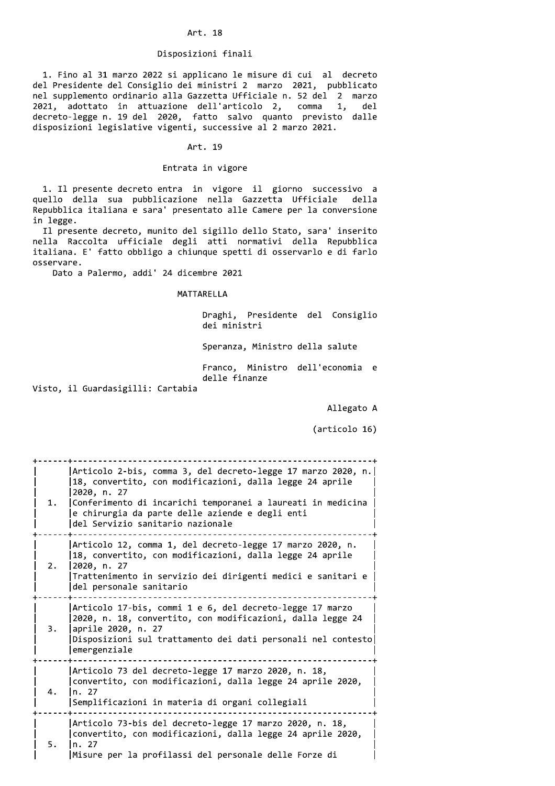#### Art. 18

#### Disposizioni finali

1. Fino al 31 marzo 2022 si applicano le misure di cui al decreto del Presidente del Consiglio dei ministri 2 marzo 2021, pubblicato nel supplemento ordinario alla Gazzetta Ufficiale n. 52 del 2 marzo 2021, adottato in attuazione dell'articolo 2, comma 1, del decreto-legge n. 19 del 2020, fatto salvo quanto previsto dalle disposizioni legislative vigenti, successive al 2 marzo 2021.

#### Art. 19

## Entrata in vigore

1. Il presente decreto entra in vigore il giorno successivo a quello della sua pubblicazione nella Gazzetta Ufficiale della Repubblica italiana e sara' presentato alle Camere per la conversione in legge.

Il presente decreto, munito del sigillo dello Stato, sara' inserito nella Raccolta ufficiale degli atti normativi della Repubblica italiana. E' fatto obbligo a chiunque spetti di osservarlo e di farlo osservare.

Dato a Palermo, addi' 24 dicembre 2021

### MATTARELLA

Draghi, Presidente del Consiglio dei ministri

Speranza, Ministro della salute

Franco, Ministro dell'economia e delle finanze

Visto, il Guardasigilli: Cartabia

Allegato A

(articolo 16)

| 1. | Articolo 2-bis, comma 3, del decreto-legge 17 marzo 2020, n.<br>18, convertito, con modificazioni, dalla legge 24 aprile<br>2020, n. 27<br>Conferimento di incarichi temporanei a laureati in medicina<br>e chirurgia da parte delle aziende e degli enti<br>del Servizio sanitario nazionale |
|----|-----------------------------------------------------------------------------------------------------------------------------------------------------------------------------------------------------------------------------------------------------------------------------------------------|
| 2. | Articolo 12, comma 1, del decreto-legge 17 marzo 2020, n.<br>18, convertito, con modificazioni, dalla legge 24 aprile<br>2020, n. 27<br>Trattenimento in servizio dei dirigenti medici e sanitari e<br>del personale sanitario                                                                |
| 3. | Articolo 17-bis, commi 1 e 6, del decreto-legge 17 marzo<br>2020, n. 18, convertito, con modificazioni, dalla legge 24<br> aprile 2020, n. 27<br>Disposizioni sul trattamento dei dati personali nel contesto<br>emergenziale                                                                 |
| 4. | Articolo 73 del decreto-legge 17 marzo 2020, n. 18,<br>convertito, con modificazioni, dalla legge 24 aprile 2020,<br>n. 27<br>Semplificazioni in materia di organi collegiali                                                                                                                 |
| 5. | Articolo 73-bis del decreto-legge 17 marzo 2020, n. 18,<br>convertito, con modificazioni, dalla legge 24 aprile 2020,<br>n. 27<br> Misure per la profilassi del personale delle Forze di                                                                                                      |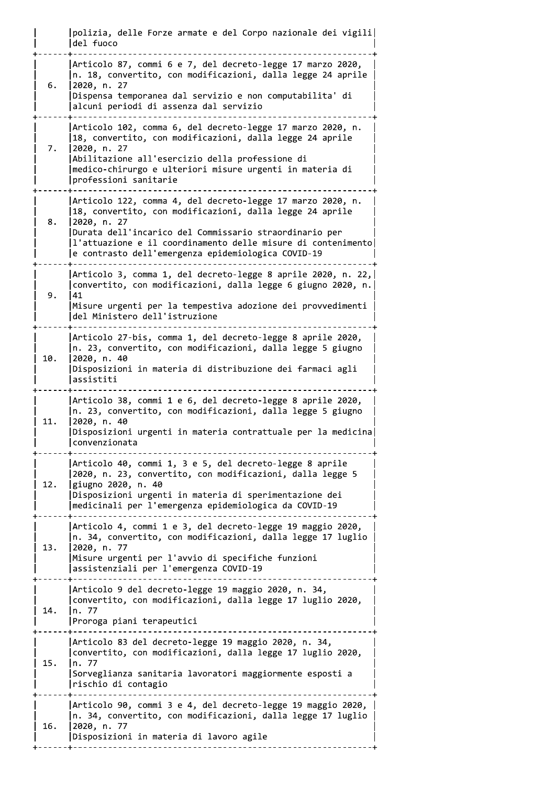| polizia, delle Forze armate e del Corpo nazionale dei vigili del fuoco ------------| Articolo 87, commi 6 e 7, del decreto-legge 17 marzo 2020,  $\lfloor n. 18$ , convertito, con modificazioni, dalla legge 24 aprile  $6.$  $|2020, n. 27$ Dispensa temporanea dal servizio e non computabilita' di alcuni periodi di assenza dal servizio Articolo 102, comma 6, del decreto-legge 17 marzo 2020, n. |18, convertito, con modificazioni, dalla legge 24 aprile 7. 2020, n. 27 Abilitazione all'esercizio della professione di |medico-chirurgo e ulteriori misure urgenti in materia di professioni sanitarie -----------------------|Articolo 122, comma 4, del decreto-legge 17 marzo 2020, n. |18, convertito, con modificazioni, dalla legge 24 aprile  $\mathbf{R}$ . 2020, n. 27 Durata dell'incarico del Commissario straordinario per l'attuazione e il coordinamento delle misure di contenimento e contrasto dell'emergenza epidemiologica COVID-19 |Articolo 3, comma 1, del decreto-legge 8 aprile 2020, n. 22, convertito, con modificazioni, dalla legge 6 giugno 2020, n.  $Q_{\perp}$  $|41$ Misure urgenti per la tempestiva adozione dei provvedimenti del Ministero dell'istruzione |Articolo 27-bis, comma 1, del decreto-legge 8 aprile 2020, n. 23, convertito, con modificazioni, dalla legge 5 giugno 10. 12020. n. 40 Disposizioni in materia di distribuzione dei farmaci agli assistiti Articolo 38, commi 1 e 6, del decreto-legge 8 aprile 2020, |n. 23, convertito, con modificazioni, dalla legge 5 giugno 11.  $|2020, n. 40$ Disposizioni urgenti in materia contrattuale per la medicina convenzionata |Articolo 40, commi 1, 3 e 5, del decreto-legge 8 aprile |2020, n. 23, convertito, con modificazioni, dalla legge 5 12. giugno 2020, n. 40 Disposizioni urgenti in materia di sperimentazione dei |medicinali per l'emergenza epidemiologica da COVID-19 | Articolo 4, commi 1 e 3, del decreto-legge 19 maggio 2020, In. 34, convertito, con modificazioni, dalla legge 17 luglio  $13.$  $|2020, n. 77$ Misure urgenti per l'avvio di specifiche funzioni assistenziali per l'emergenza COVID-19 |Articolo 9 del decreto-legge 19 maggio 2020, n. 34, convertito, con modificazioni, dalla legge 17 luglio 2020, 14.  $\ln 77$ Proroga piani terapeutici |Articolo 83 del decreto-legge 19 maggio 2020, n. 34, | convertito, con modificazioni, dalla legge 17 luglio 2020, 15.  $\ln 77$ Sorveglianza sanitaria lavoratori maggiormente esposti a rischio di contagio |Articolo 90, commi 3 e 4, del decreto-legge 19 maggio 2020, |n. 34, convertito, con modificazioni, dalla legge 17 luglio  $16.$  $|2020, n. 77$ Disposizioni in materia di lavoro agile